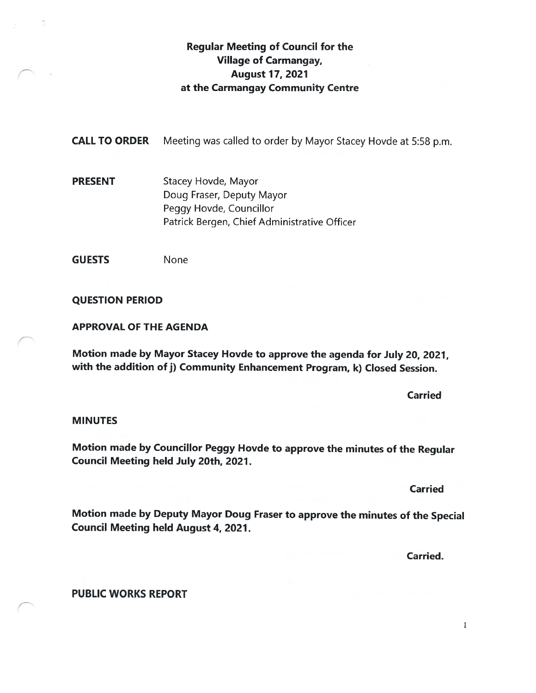## Regular Meeting of Council for the Village of Carmangay, August 17, 2021 at the Carmangay Community Centre

**CALL TO ORDER** Meeting was called to order by Mayor Stacey Hovde at 5:58 p.m.

PRESENT Stacey Hovde, Mayor Doug Eraser, Deputy Mayor Peggy Hovde, Councillor Patrick Bergen, Chief Administrative Officer

GUESTS None

QUESTION PERIOD

APPROVAL OF THE AGENDA

Motion made by Mayor Stacey Hovde to approve the agenda for July 20, 2021, with the addition of j) Community Enhancement Program, k) Closed Session.

Carried

#### **MINUTES**

Motion made by Councillor Peggy Hovde to approve the minutes of the Regular Council Meeting held July 20th, 2021.

Carried

Motion made by Deputy Mayor Doug Fraser to approve the minutes of the Special Council Meeting held August 4, 2021.

Carried.

PUBLIC WORKS REPORT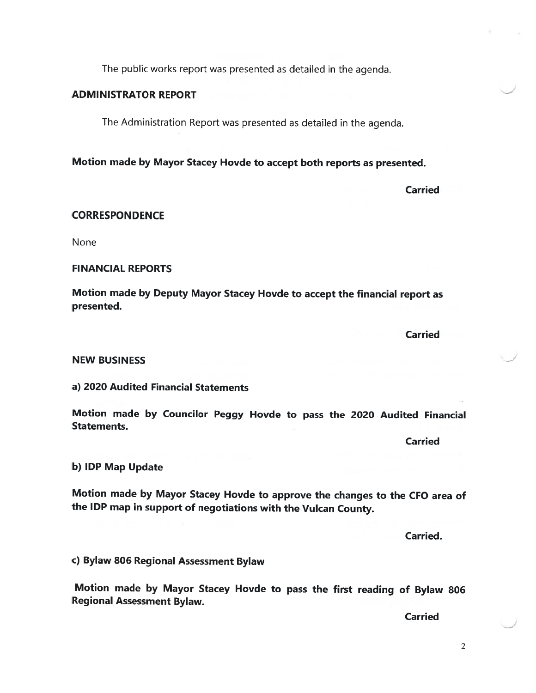The public works report was presented as detailed in the agenda.

#### ADMINISTRATOR REPORT

The Administration Report was presented as detailed in the agenda.

Motion made by Mayor Stacey Hovde to accept both reports as presented.

Carried

#### **CORRESPONDENCE**

None

#### FINANCIAL REPORTS

Motion made by Deputy Mayor Stacey Hovde to accept the financial report as presented.

**Carried** 

#### NEW BUSINESS

#### a) 2020 Audited Financial Statements

Motion made by Councilor Peggy Hovde to pass the <sup>2020</sup> Audited Financial Statements.

**Carried** 

#### b) IDP Map Update

Motion made by Mayor Stacey Hovde to approve the changes to the CEO area of the IDP map in support of negotiations with the Vulcan County.

Carried.

c) Bylaw <sup>806</sup> Regional Assessment Bylaw

Motion made by Mayor Stacey Hovde to pass the first reading of Bylaw <sup>806</sup> Regional Assessment Bylaw.

Carried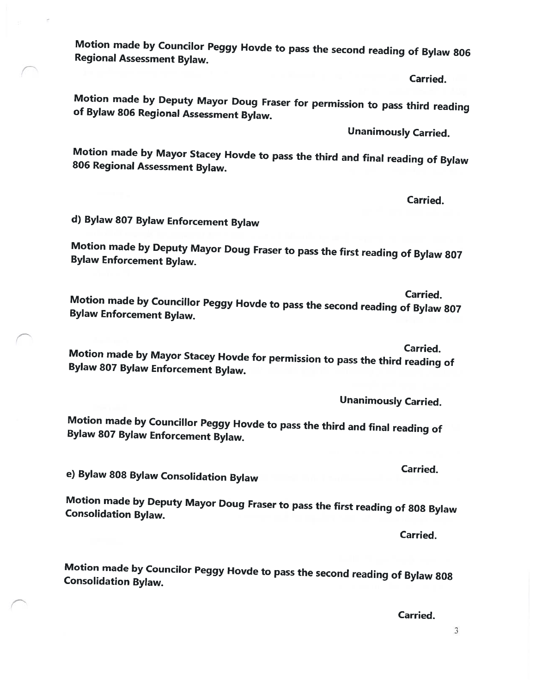-3

Motion made by Councilor Peggy Hovde to pass the second reading of Bylaw <sup>806</sup> Regional Assessment Bylaw.

Carried.

Motion made by Deputy Mayor Doug Fraser for permission to pass third reading of Bylaw <sup>806</sup> Regional Assessment Bylaw.

Unanimously Carried.

Motion made by Mayor Stacey Hovde to pass the third and final reading of Bylaw <sup>806</sup> Regional Assessment Bylaw.

Carried.

d) Bylaw <sup>807</sup> Bylaw Enforcement Bylaw

Motion made by Deputy Mayor Doug Fraser to pass the first reading of Bylaw <sup>807</sup> Bylaw Enforcement Bylaw.

Carried. Motion made by Councillor Peggy Hovde to pass the second reading of Bylaw <sup>807</sup> Bylaw Enforcement Bylaw.

Carried. Motion made by Mayor Stacey Hovde for permission to pass the third reading of Bylaw \$07 Bylaw Enforcement Bylaw.

Unanimously Carried.

Motion made by Councillor Peggy Hovde to pass the third and final reading of Bylaw <sup>807</sup> Bylaw Enforcement Bylaw.

e) Bylaw <sup>808</sup> Bylaw Consolidation Bylaw

Motion made by Deputy Mayor Doug Fraser to pass the first reading of <sup>808</sup> Bylaw Consolidation Bylaw.

Carried.

Carried.

Motion made by Councilor Peggy Hovde to pass the second reading of Bylaw <sup>808</sup> Consolidation Bylaw.

Carried.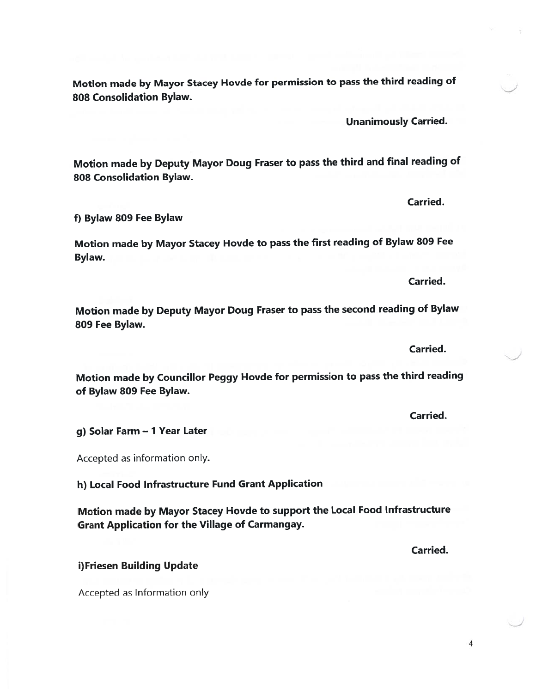Motion made by Mayor Stacey Hovde for permission to pass the third reading of 808 Consolidation Bylaw.

Motion made by Deputy Mayor Doug Fraser to pass the third and final reading of 80\$ Consolidation Bylaw.

f) Bylaw 809 Fee Bylaw

Motion made by Mayor Stacey Hovde to pass the first reading of Bylaw <sup>809</sup> Fee Bylaw.

Motion made by Deputy Mayor Doug Fraser to pass the second reading of Bylaw 809 Fee Bylaw.

Motion made by Councillor Peggy Hovde for permission to pass the third reading of Bylaw 809 Fee Bylaw.

g) Solar Farm — <sup>1</sup> Year Later

Accepted as information only.

h) Local Food Infrastructure Fund Grant Application

Motion made by Mayor Stacey Hovde to suppor<sup>t</sup> the Local Food Infrastructure Grant Application for the Village of Carmangay.

i)Friesen Building Update

Accepted as Information only

Carried.

Carried.

Carried.

Unanimously Carried.

Carried.

Carried.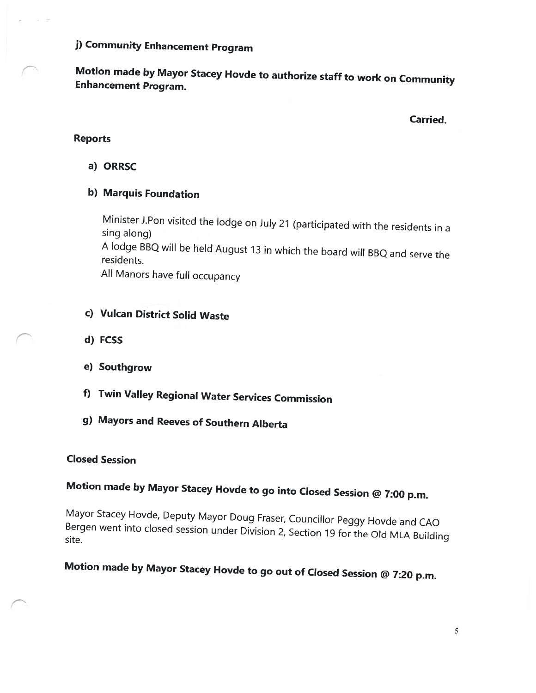j) Community Enhancement Program

Motion made by Mayor Stacey Hovde to authorize staff to work on Community Enhancement Program.

Carried.

#### Reports

a) ORRSC

### b) Marquis Foundation

Minister J.Pon visited the lodge on July <sup>21</sup> (participated with the residents in <sup>a</sup> sing along) <sup>A</sup> lodge BBQ will be held August <sup>13</sup> in which the board will BBQ and serve the residents. All Manors have full occupancy

- c) Vulcan District Solid Waste
- d) FCSS
- e) Southgrow
- f) Twin Valley Regional Water Services Commission
- g) Mayors and Reeves of Southern Alberta

#### Closed Session

## Motion made by Mayor Stacey Hovde to go into Closed Session @ 7:00 p.m.

Mayor Stacey Hovde, Deputy Mayor Doug Fraser, Councillor Peggy Hovde and CAO Bergen went into closed session under Division 2, Section <sup>19</sup> for the Old MLA Building site.

# Motion made by Mayor Stacey Hovde to go out of Closed Session @ 7:20 p.m.